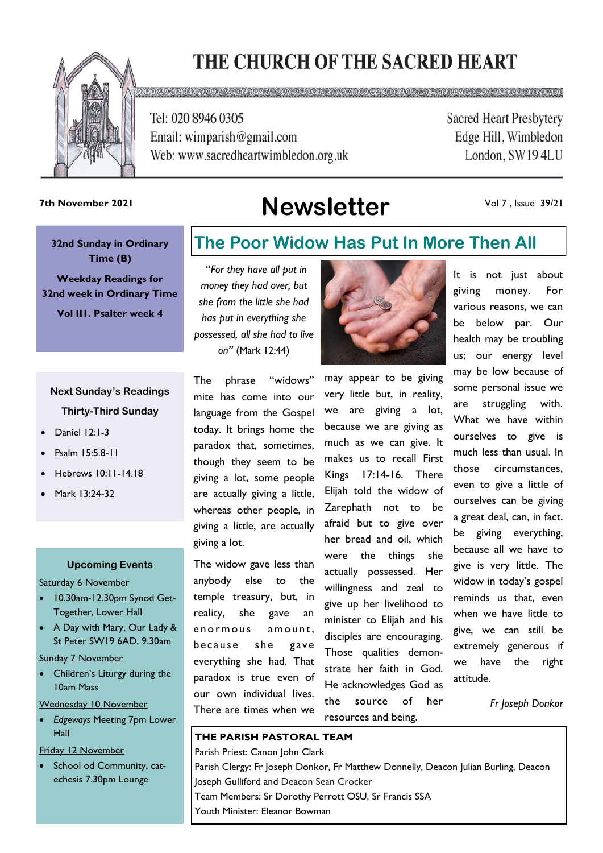# THE CHURCH OF THE SACRED HEART



<u>മാരത്തെ മാര</u>

Tel: 020 8946 0305 Email: wimparish@gmail.com Web: www.sacredheartwimbledon.org.uk **Sacred Heart Presbytery** Edge Hill, Wimbledon London, SW194LU

## **Newsletter 7th November 2021**

#### Vol 7 , Issue 39/21

**32nd Sunday in Ordinary Time (B)** 

**Weekday Readings for 32nd week in Ordinary Time**

**Vol II1. Psalter week 4**

### **Next Sunday's Readings Thirty-Third Sunday**

- Daniel 12:1-3
- Psalm 15:5.8-11
- Hebrews 10:11-14.18
- Mark 13:24-32

#### **Upcoming Events**

Saturday 6 November

- 10.30am-12.30pm Synod Get-Together, Lower Hall
- A Day with Mary, Our Lady & St Peter SW19 6AD, 9.30am

Sunday 7 November

Children's Liturgy during the 10am Mass

Wednesday 10 November

• *Edgeways* Meeting 7pm Lower Hall

Friday 12 November

School od Community, catechesis 7.30pm Lounge

### **The Poor Widow Has Put In More Then All**

"*For they have all put in money they had over, but she from the little she had has put in everything she possessed, all she had to live on"* (Mark 12:44)

The phrase "widows" mite has come into our language from the Gospel today. It brings home the paradox that, sometimes, though they seem to be giving a lot, some people are actually giving a little, whereas other people, in giving a little, are actually

The widow gave less than anybody else to the temple treasury, but, in reality, she gave an enormous amount. because she gave everything she had. That paradox is true even of our own individual lives. There are times when we

giving a lot.



may appear to be giving very little but, in reality, we are giving a lot, because we are giving as much as we can give. It makes us to recall First Kings 17:14-16. There Elijah told the widow of Zarephath not to be afraid but to give over her bread and oil, which were the things she actually possessed. Her willingness and zeal to give up her livelihood to minister to Elijah and his disciples are encouraging. Those qualities demonstrate her faith in God. He acknowledges God as the source of her resources and being.

It is not just about giving money. For various reasons, we can be below par. Our health may be troubling us; our energy level may be low because of some personal issue we are struggling with. What we have within ourselves to give is much less than usual. In those circumstances, even to give a little of ourselves can be giving a great deal, can, in fact, be giving everything, because all we have to give is very little. The widow in today's gospel reminds us that, even when we have little to give, we can still be extremely generous if we have the right attitude.

*Fr Joseph Donkor* 

#### **THE PARISH PASTORAL TEAM**

Parish Priest: Canon John Clark Parish Clergy: Fr Joseph Donkor, Fr Matthew Donnelly, Deacon Julian Burling, Deacon Joseph Gulliford and Deacon Sean Crocker Team Members: Sr Dorothy Perrott OSU, Sr Francis SSA Youth Minister: Eleanor Bowman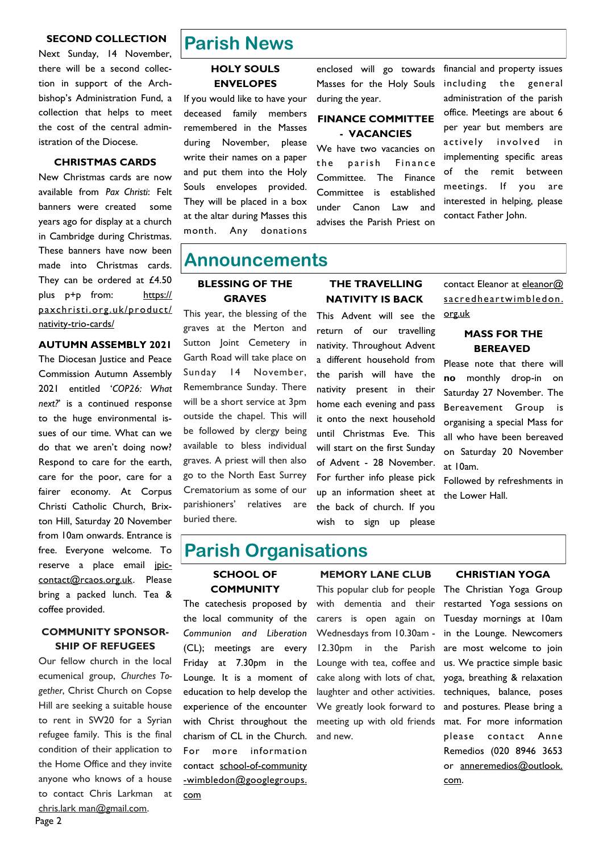#### **SECOND COLLECTION**

Next Sunday, 14 November, there will be a second collection in support of the Archbishop's Administration Fund, a collection that helps to meet the cost of the central administration of the Diocese.

#### **CHRISTMAS CARDS**

New Christmas cards are now available from *Pax Christi*: Felt banners were created some years ago for display at a church in Cambridge during Christmas. These banners have now been made into Christmas cards. They can be ordered at £4.50 plus p+p from: https[://](https://paxchristi.org.uk/product/nativity-trio-cards/) [paxchristi.org.uk/product/](https://paxchristi.org.uk/product/nativity-trio-cards/) [nativity-trio-cards/](https://paxchristi.org.uk/product/nativity-trio-cards/)

#### **AUTUMN ASSEMBLY 2021**

The Diocesan Justice and Peace Commission Autumn Assembly 2021 entitled '*COP26: What next?*' is a continued response to the huge environmental issues of our time. What can we do that we aren't doing now? Respond to care for the earth, care for the poor, care for a fairer economy. At Corpus Christi Catholic Church, Brixton Hill, Saturday 20 November from 10am onwards. Entrance is free. Everyone welcome. To reserve a place email jpiccontact@rcaos.org.uk. Please bring a packed lunch. Tea & coffee provided.

#### **COMMUNITY SPONSOR-SHIP OF REFUGEES**

Our fellow church in the local ecumenical group, *Churches Together*, Christ Church on Copse Hill are seeking a suitable house to rent in SW20 for a Syrian refugee family. This is the final condition of their application to the Home Office and they invite anyone who knows of a house to contact Chris Larkman at chris.lark man@gmail.com.

### **Parish News**

#### **HOLY SOULS ENVELOPES**

If you would like to have your deceased family members remembered in the Masses during November, please write their names on a paper and put them into the Holy Souls envelopes provided. They will be placed in a box at the altar during Masses this month. Any donations

enclosed will go towards Masses for the Holy Souls during the year.

#### **FINANCE COMMITTEE - VACANCIES**

We have two vacancies on the parish Finance Committee. The Finance Committee is established under Canon Law and advises the Parish Priest on financial and property issues including the general administration of the parish office. Meetings are about 6 per year but members are actively involved in implementing specific areas of the remit between meetings. If you are interested in helping, please contact Father John.

### **Announcements**

#### **BLESSING OF THE GRAVES**

This year, the blessing of the graves at the Merton and Sutton Joint Cemetery in Garth Road will take place on Sunday 14 November, Remembrance Sunday. There will be a short service at 3pm outside the chapel. This will be followed by clergy being available to bless individual graves. A priest will then also go to the North East Surrey Crematorium as some of our parishioners' relatives are buried there.

#### **THE TRAVELLING NATIVITY IS BACK**

This Advent will see the **[org.uk](mailto:eleanor@sacredheartwimbledon.org.uk)** return of our travelling nativity. Throughout Advent a different household from the parish will have the nativity present in their home each evening and pass it onto the next household until Christmas Eve. This will start on the first Sunday of Advent - 28 November. For further info please pick up an information sheet at the back of church. If you wish to sign up please

contact Eleanor at [eleanor@](mailto:eleanor@sacredheartwimbledon.org.uk)  [sacredheartwimbledon.](mailto:eleanor@sacredheartwimbledon.org.uk) 

#### **MASS FOR THE BEREAVED**

Please note that there will **no** monthly drop-in on Saturday 27 November. The Bereavement Group is organising a special Mass for all who have been bereaved on Saturday 20 November at 10am.

Followed by refreshments in the Lower Hall.

### **Parish Organisations**

#### **SCHOOL OF COMMUNITY**

The catechesis proposed by the local community of the *Communion and Liberation*  (CL); meetings are every Friday at 7.30pm in the Lounge. It is a moment of education to help develop the experience of the encounter with Christ throughout the charism of CL in the Church. For more information contact [school-of-community](mailto:school-of-community-wimbledon@googlegroups.com) [-wimbledon@googlegroups.](mailto:school-of-community-wimbledon@googlegroups.com)  [com](mailto:school-of-community-wimbledon@googlegroups.com)

#### **MEMORY LANE CLUB**

This popular club for people with dementia and their carers is open again on Wednesdays from 10.30am - 12.30pm in the Parish Lounge with tea, coffee and cake along with lots of chat, laughter and other activities. We greatly look forward to meeting up with old friends and new.

#### **CHRISTIAN YOGA**

The Christian Yoga Group restarted Yoga sessions on Tuesday mornings at 10am in the Lounge. Newcomers are most welcome to join us. We practice simple basic yoga, breathing & relaxation techniques, balance, poses and postures. Please bring a mat. For more information please contact Anne Remedios (020 8946 3653 or anneremedios@outlook. com.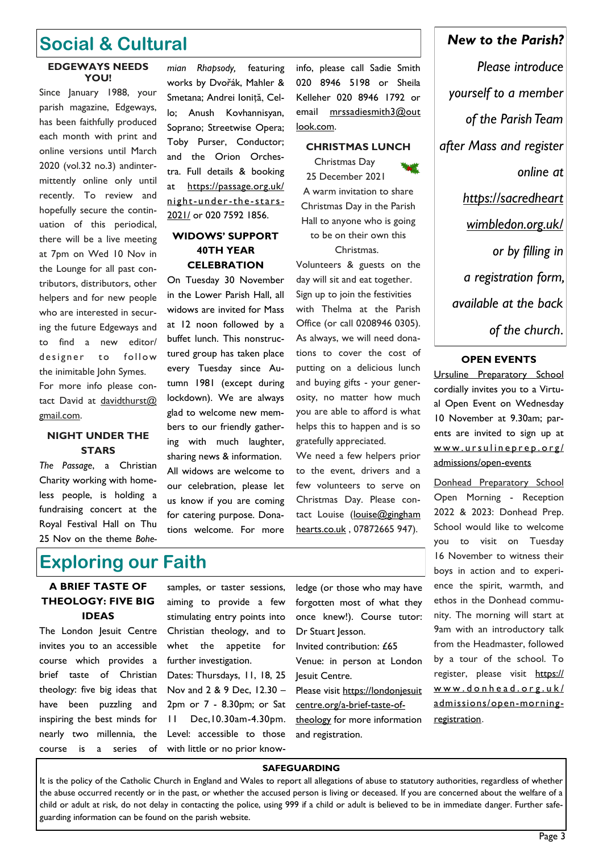### **Social & Cultural**

#### **EDGEWAYS NEEDS YOU!**

Since January 1988, your parish magazine, Edgeways, has been faithfully produced each month with print and online versions until March 2020 (vol.32 no.3) andintermittently online only until recently. To review and hopefully secure the continuation of this periodical, there will be a live meeting at 7pm on Wed 10 Nov in the Lounge for all past contributors, distributors, other helpers and for new people who are interested in securing the future Edgeways and to find a new editor/ designer to follow the inimitable John Symes. For more info please contact David at davidthurst@ gmail.com.

#### **NIGHT UNDER THE STARS**

*The Passage*, a Christian Charity working with homeless people, is holding a fundraising concert at the Royal Festival Hall on Thu 25 Nov on the theme *Bohe-*

*mian Rhapsody,* featuring works by Dvořák, Mahler & Smetana; Andrei Ioniță, Cello; Anush Kovhannisyan, Soprano; Streetwise Opera; Toby Purser, Conductor; and the Orion Orchestra. Full details & booking at [https://passage.org.uk/](https://passage.org.uk/night-under-the-stars-2021/) [night-under-the](https://passage.org.uk/night-under-the-stars-2021/) -stars-[2021/](https://passage.org.uk/night-under-the-stars-2021/) or 020 7592 1856.

#### **WIDOWS' SUPPORT 40TH YEAR CELEBRATION**

On Tuesday 30 November in the Lower Parish Hall, all widows are invited for Mass at 12 noon followed by a buffet lunch. This nonstructured group has taken place every Tuesday since Autumn 1981 (except during lockdown). We are always glad to welcome new members to our friendly gathering with much laughter, sharing news & information. All widows are welcome to our celebration, please let us know if you are coming for catering purpose. Donations welcome. For more

info, please call Sadie Smith 020 8946 5198 or Sheila Kelleher 020 8946 1792 or email mrssadiesmith3@out look.com.

#### **CHRISTMAS LUNCH**

Christmas Day 25 December 2021 A warm invitation to share Christmas Day in the Parish Hall to anyone who is going to be on their own this Christmas. Volunteers & guests on the day will sit and eat together. Sign up to join the festivities with Thelma at the Parish Office (or call 0208946 0305). As always, we will need donations to cover the cost of putting on a delicious lunch and buying gifts - your generosity, no matter how much you are able to afford is what helps this to happen and is so

gratefully appreciated. We need a few helpers prior to the event, drivers and a few volunteers to serve on Christmas Day. Please contact Louise (louise@gingham [hearts.co.uk](mailto:louise@ginghamhearts.co.uk) , 07872665 947).

### **Exploring our Faith**

#### **A BRIEF TASTE OF THEOLOGY: FIVE BIG IDEAS**

The London Jesuit Centre invites you to an accessible course which provides a brief taste of Christian theology: five big ideas that have been puzzling and inspiring the best minds for nearly two millennia, the course is a series of

samples, or taster sessions, aiming to provide a few stimulating entry points into Christian theology, and to whet the appetite for further investigation.

Dates: Thursdays, 11, 18, 25 Nov and 2 & 9 Dec, 12.30 – 2pm or 7 - 8.30pm; or Sat 11 Dec,10.30am-4.30pm. Level: accessible to those with little or no prior knowledge (or those who may have forgotten most of what they once knew!). Course tutor: Dr Stuart Jesson.

Invited contribution: £65

Venue: in person at London Jesuit Centre.

Please visit https://londonjesuit centre.org/a-brief-taste-oftheology for more information

# *Please introduce yourself to a member*

*New to the Parish?* 

*of the Parish Team after Mass and register online at https://sacredheart wimbledon.org.uk/ or by filling in a registration form, available at the back of the church*.

#### **OPEN EVENTS**

Ursuline Preparatory School cordially invites you to a Virtual Open Event on Wednesday 10 November at 9.30am; parents are invited to sign up at www.ursulineprep.org/ admissions/open-events

Donhead Preparatory School Open Morning - Reception 2022 & 2023: Donhead Prep. School would like to welcome you to visit on Tuesday 16 November to witness their boys in action and to experience the spirit, warmth, and ethos in the Donhead community. The morning will start at 9am with an introductory talk from the Headmaster, followed by a tour of the school. To register, please visit [https://](https://www.donhead.org.uk/admissions/open-morning-registration) www.donhead.org.uk/ [admissions/open-morning](https://www.donhead.org.uk/admissions/open-morning-registration)[registration](https://www.donhead.org.uk/admissions/open-morning-registration).

#### **SAFEGUARDING**

and registration.

It is the policy of the Catholic Church in England and Wales to report all allegations of abuse to statutory authorities, regardless of whether the abuse occurred recently or in the past, or whether the accused person is living or deceased. If you are concerned about the welfare of a child or adult at risk, do not delay in contacting the police, using 999 if a child or adult is believed to be in immediate danger. Further safeguarding information can be found on the parish website.